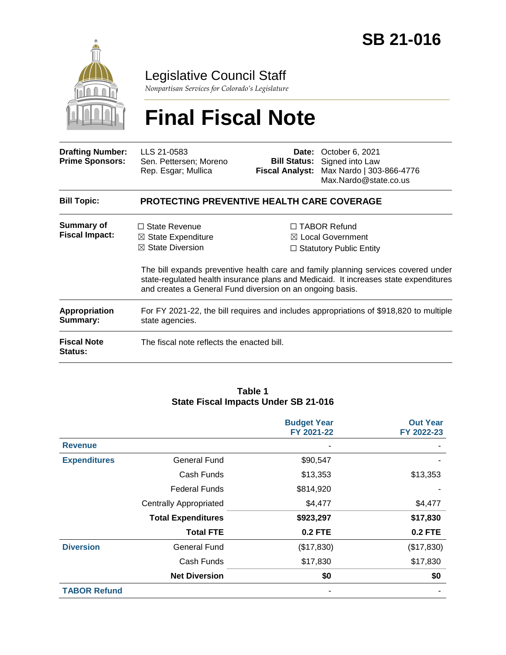

Legislative Council Staff

*Nonpartisan Services for Colorado's Legislature*

# **Final Fiscal Note**

| <b>Drafting Number:</b><br><b>Prime Sponsors:</b> | LLS 21-0583<br>Sen. Pettersen; Moreno<br>Rep. Esgar; Mullica                                                                                                                                                                            | Date:<br><b>Fiscal Analyst:</b>                                                       | October 6, 2021<br><b>Bill Status:</b> Signed into Law<br>Max Nardo   303-866-4776<br>Max.Nardo@state.co.us |  |  |
|---------------------------------------------------|-----------------------------------------------------------------------------------------------------------------------------------------------------------------------------------------------------------------------------------------|---------------------------------------------------------------------------------------|-------------------------------------------------------------------------------------------------------------|--|--|
| <b>Bill Topic:</b>                                | <b>PROTECTING PREVENTIVE HEALTH CARE COVERAGE</b>                                                                                                                                                                                       |                                                                                       |                                                                                                             |  |  |
| <b>Summary of</b><br><b>Fiscal Impact:</b>        | $\Box$ State Revenue<br>$\boxtimes$ State Expenditure<br>$\boxtimes$ State Diversion                                                                                                                                                    | $\Box$ TABOR Refund<br>$\boxtimes$ Local Government<br>$\Box$ Statutory Public Entity |                                                                                                             |  |  |
|                                                   | The bill expands preventive health care and family planning services covered under<br>state-regulated health insurance plans and Medicaid. It increases state expenditures<br>and creates a General Fund diversion on an ongoing basis. |                                                                                       |                                                                                                             |  |  |
| <b>Appropriation</b><br>Summary:                  | For FY 2021-22, the bill requires and includes appropriations of \$918,820 to multiple<br>state agencies.                                                                                                                               |                                                                                       |                                                                                                             |  |  |
| <b>Fiscal Note</b><br><b>Status:</b>              | The fiscal note reflects the enacted bill.                                                                                                                                                                                              |                                                                                       |                                                                                                             |  |  |

#### **Table 1 State Fiscal Impacts Under SB 21-016**

|                     |                               | <b>Budget Year</b><br>FY 2021-22 | <b>Out Year</b><br>FY 2022-23 |
|---------------------|-------------------------------|----------------------------------|-------------------------------|
| <b>Revenue</b>      |                               |                                  |                               |
| <b>Expenditures</b> | <b>General Fund</b>           | \$90,547                         |                               |
|                     | Cash Funds                    | \$13,353                         | \$13,353                      |
|                     | <b>Federal Funds</b>          | \$814,920                        |                               |
|                     | <b>Centrally Appropriated</b> | \$4,477                          | \$4,477                       |
|                     | <b>Total Expenditures</b>     | \$923,297                        | \$17,830                      |
|                     | <b>Total FTE</b>              | <b>0.2 FTE</b>                   | <b>0.2 FTE</b>                |
| <b>Diversion</b>    | <b>General Fund</b>           | (\$17,830)                       | (\$17,830)                    |
|                     | Cash Funds                    | \$17,830                         | \$17,830                      |
|                     | <b>Net Diversion</b>          | \$0                              | \$0                           |
| <b>TABOR Refund</b> |                               |                                  |                               |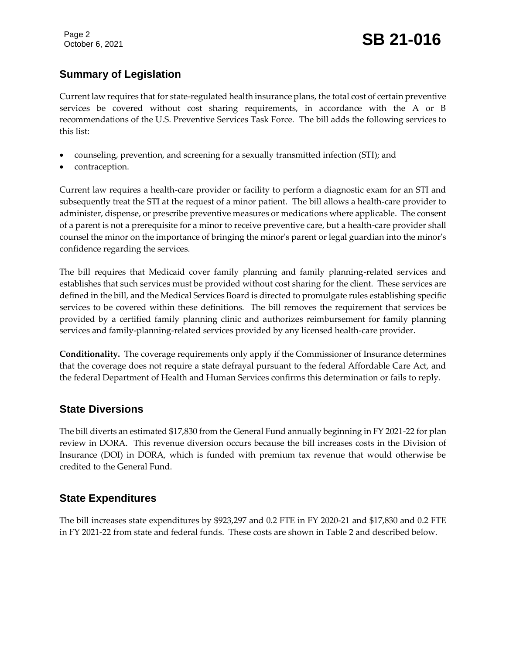Page 2

# Page 2<br>October 6, 2021 **SB 21-016**

# **Summary of Legislation**

Current law requires that for state-regulated health insurance plans, the total cost of certain preventive services be covered without cost sharing requirements, in accordance with the A or B recommendations of the U.S. Preventive Services Task Force. The bill adds the following services to this list:

- counseling, prevention, and screening for a sexually transmitted infection (STI); and
- contraception.

Current law requires a health-care provider or facility to perform a diagnostic exam for an STI and subsequently treat the STI at the request of a minor patient. The bill allows a health-care provider to administer, dispense, or prescribe preventive measures or medications where applicable. The consent of a parent is not a prerequisite for a minor to receive preventive care, but a health-care provider shall counsel the minor on the importance of bringing the minor's parent or legal guardian into the minor's confidence regarding the services.

The bill requires that Medicaid cover family planning and family planning-related services and establishes that such services must be provided without cost sharing for the client. These services are defined in the bill, and the Medical Services Board is directed to promulgate rules establishing specific services to be covered within these definitions. The bill removes the requirement that services be provided by a certified family planning clinic and authorizes reimbursement for family planning services and family-planning-related services provided by any licensed health-care provider.

**Conditionality.** The coverage requirements only apply if the Commissioner of Insurance determines that the coverage does not require a state defrayal pursuant to the federal Affordable Care Act, and the federal Department of Health and Human Services confirms this determination or fails to reply.

# **State Diversions**

The bill diverts an estimated \$17,830 from the General Fund annually beginning in FY 2021-22 for plan review in DORA. This revenue diversion occurs because the bill increases costs in the Division of Insurance (DOI) in DORA, which is funded with premium tax revenue that would otherwise be credited to the General Fund.

# **State Expenditures**

The bill increases state expenditures by \$923,297 and 0.2 FTE in FY 2020-21 and \$17,830 and 0.2 FTE in FY 2021-22 from state and federal funds. These costs are shown in Table 2 and described below.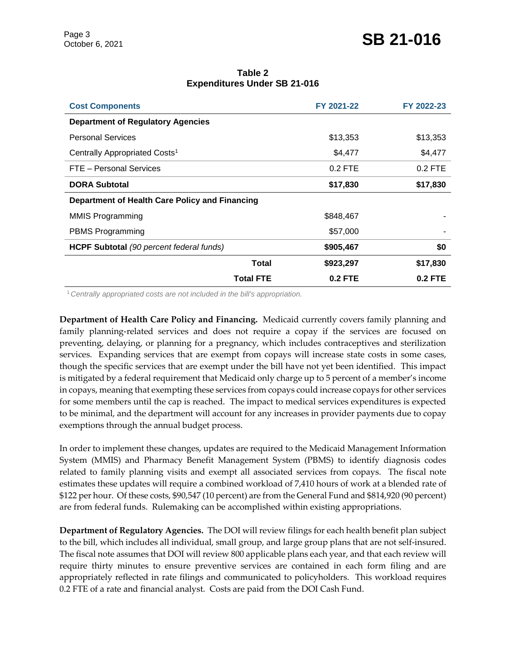| Table 2                             |  |  |  |  |  |  |
|-------------------------------------|--|--|--|--|--|--|
| <b>Expenditures Under SB 21-016</b> |  |  |  |  |  |  |

| <b>Cost Components</b>                          | FY 2021-22 | FY 2022-23 |
|-------------------------------------------------|------------|------------|
| <b>Department of Regulatory Agencies</b>        |            |            |
| <b>Personal Services</b>                        | \$13,353   | \$13,353   |
| Centrally Appropriated Costs <sup>1</sup>       | \$4,477    | \$4,477    |
| FTE - Personal Services                         | $0.2$ FTE  | $0.2$ FTE  |
| <b>DORA Subtotal</b>                            | \$17,830   | \$17,830   |
| Department of Health Care Policy and Financing  |            |            |
| <b>MMIS Programming</b>                         | \$848,467  |            |
| <b>PBMS Programming</b>                         | \$57,000   |            |
| <b>HCPF Subtotal</b> (90 percent federal funds) | \$905,467  | \$0        |
| Total                                           | \$923,297  | \$17,830   |
| <b>Total FTE</b>                                | $0.2$ FTE  | $0.2$ FTE  |

<sup>1</sup>*Centrally appropriated costs are not included in the bill's appropriation.*

**Department of Health Care Policy and Financing.** Medicaid currently covers family planning and family planning-related services and does not require a copay if the services are focused on preventing, delaying, or planning for a pregnancy, which includes contraceptives and sterilization services. Expanding services that are exempt from copays will increase state costs in some cases, though the specific services that are exempt under the bill have not yet been identified. This impact is mitigated by a federal requirement that Medicaid only charge up to 5 percent of a member's income in copays, meaning that exempting these services from copays could increase copays for other services for some members until the cap is reached. The impact to medical services expenditures is expected to be minimal, and the department will account for any increases in provider payments due to copay exemptions through the annual budget process.

In order to implement these changes, updates are required to the Medicaid Management Information System (MMIS) and Pharmacy Benefit Management System (PBMS) to identify diagnosis codes related to family planning visits and exempt all associated services from copays. The fiscal note estimates these updates will require a combined workload of 7,410 hours of work at a blended rate of \$122 per hour. Of these costs, \$90,547 (10 percent) are from the General Fund and \$814,920 (90 percent) are from federal funds. Rulemaking can be accomplished within existing appropriations.

**Department of Regulatory Agencies.** The DOI will review filings for each health benefit plan subject to the bill, which includes all individual, small group, and large group plans that are not self-insured. The fiscal note assumes that DOI will review 800 applicable plans each year, and that each review will require thirty minutes to ensure preventive services are contained in each form filing and are appropriately reflected in rate filings and communicated to policyholders. This workload requires 0.2 FTE of a rate and financial analyst. Costs are paid from the DOI Cash Fund.